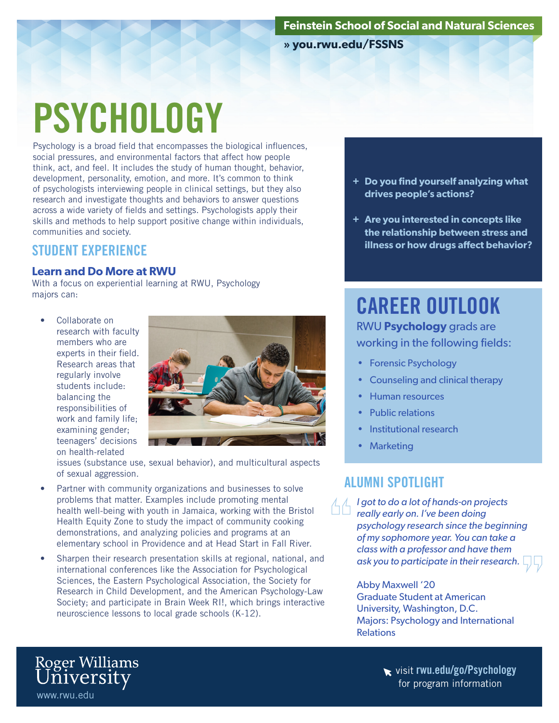**» you.rwu.edu/FSSNS**

# **PSYCHOLOGY**

Psychology is a broad field that encompasses the biological influences, social pressures, and environmental factors that affect how people think, act, and feel. It includes the study of human thought, behavior, development, personality, emotion, and more. It's common to think of psychologists interviewing people in clinical settings, but they also research and investigate thoughts and behaviors to answer questions across a wide variety of fields and settings. Psychologists apply their skills and methods to help support positive change within individuals, communities and society.

#### STUDENT EXPERIENCE

#### **Learn and Do More at RWU**

With a focus on experiential learning at RWU, Psychology majors can:

Collaborate on research with faculty members who are experts in their field. Research areas that regularly involve students include: balancing the responsibilities of work and family life; examining gender; teenagers' decisions on health-related

www.rwu.edu

Roger Williams<br>University



issues (substance use, sexual behavior), and multicultural aspects of sexual aggression.

- Partner with community organizations and businesses to solve problems that matter. Examples include promoting mental health well-being with youth in Jamaica, working with the Bristol Health Equity Zone to study the impact of community cooking demonstrations, and analyzing policies and programs at an elementary school in Providence and at Head Start in Fall River.
- Sharpen their research presentation skills at regional, national, and international conferences like the Association for Psychological Sciences, the Eastern Psychological Association, the Society for Research in Child Development, and the American Psychology-Law Society; and participate in Brain Week RI!, which brings interactive neuroscience lessons to local grade schools (K-12).
- **+ Do you find yourself analyzing what drives people's actions?**
- **+ Are you interested in concepts like the relationship between stress and illness or how drugs affect behavior?**

# CAREER OUTLOOK

RWU **Psychology** grads are working in the following fields:

- Forensic Psychology
- Counseling and clinical therapy
- Human resources
- Public relations
- Institutional research
- Marketing

### ALUMNI SPOTLIGHT

*I got to do a lot of hands-on projects really early on. I've been doing psychology research since the beginning of my sophomore year. You can take a class with a professor and have them ask you to participate in their research.*

> Abby Maxwell '20 Graduate Student at American University, Washington, D.C. Majors: Psychology and International **Relations**

visit rwu.edu/go/Psychology for program information